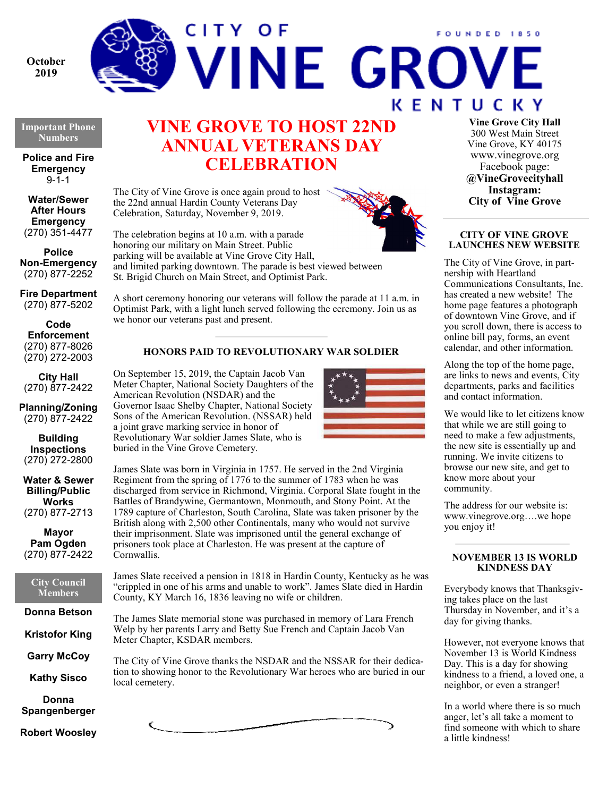

# FOUNDED 1850 **VINE GROVE KENTUCKY**

**Important Phone Numbers** 

**Police and Fire Emergency**   $9 - 1 - 1$ 

**Water/Sewer After Hours Emergency**  (270) 351-4477

**Police Non-Emergency**  (270) 877-2252

**Fire Department**  (270) 877-5202

**Code Enforcement** (270) 877-8026 (270) 272-2003

**City Hall** (270) 877-2422

**Planning/Zoning**  (270) 877-2422

**Building Inspections**  (270) 272-2800

**Water & Sewer Billing/Public Works**  (270) 877-2713

**Mayor Pam Ogden**  (270) 877-2422

**City Council Members** 

**Donna Betson** 

**Kristofor King** 

**Garry McCoy** 

**Kathy Sisco** 

**Donna Spangenberger** 

**Robert Woosley** 

# **VINE GROVE TO HOST 22ND ANNUAL VETERANS DAY CELEBRATION**

The City of Vine Grove is once again proud to host the 22nd annual Hardin County Veterans Day Celebration, Saturday, November 9, 2019.

The celebration begins at 10 a.m. with a parade honoring our military on Main Street. Public parking will be available at Vine Grove City Hall, and limited parking downtown. The parade is best viewed between St. Brigid Church on Main Street, and Optimist Park.

A short ceremony honoring our veterans will follow the parade at 11 a.m. in Optimist Park, with a light lunch served following the ceremony. Join us as we honor our veterans past and present.

# **HONORS PAID TO REVOLUTIONARY WAR SOLDIER**

On September 15, 2019, the Captain Jacob Van Meter Chapter, National Society Daughters of the American Revolution (NSDAR) and the Governor Isaac Shelby Chapter, National Society Sons of the American Revolution. (NSSAR) held a joint grave marking service in honor of Revolutionary War soldier James Slate, who is buried in the Vine Grove Cemetery.



James Slate was born in Virginia in 1757. He served in the 2nd Virginia Regiment from the spring of 1776 to the summer of 1783 when he was discharged from service in Richmond, Virginia. Corporal Slate fought in the Battles of Brandywine, Germantown, Monmouth, and Stony Point. At the 1789 capture of Charleston, South Carolina, Slate was taken prisoner by the British along with 2,500 other Continentals, many who would not survive their imprisonment. Slate was imprisoned until the general exchange of prisoners took place at Charleston. He was present at the capture of Cornwallis.

James Slate received a pension in 1818 in Hardin County, Kentucky as he was "crippled in one of his arms and unable to work". James Slate died in Hardin County, KY March 16, 1836 leaving no wife or children.

The James Slate memorial stone was purchased in memory of Lara French Welp by her parents Larry and Betty Sue French and Captain Jacob Van Meter Chapter, KSDAR members.

The City of Vine Grove thanks the NSDAR and the NSSAR for their dedication to showing honor to the Revolutionary War heroes who are buried in our local cemetery.



**Vine Grove City Hall** 300 West Main Street Vine Grove, KY 40175 www.vinegrove.org Facebook page: **@VineGrovecityhall Instagram: City of Vine Grove** 

## **CITY OF VINE GROVE LAUNCHES NEW WEBSITE**

The City of Vine Grove, in partnership with Heartland Communications Consultants, Inc. has created a new website! The home page features a photograph of downtown Vine Grove, and if you scroll down, there is access to online bill pay, forms, an event calendar, and other information.

Along the top of the home page, are links to news and events, City departments, parks and facilities and contact information.

We would like to let citizens know that while we are still going to need to make a few adjustments, the new site is essentially up and running. We invite citizens to browse our new site, and get to know more about your community.

The address for our website is: www.vinegrove.org….we hope you enjoy it!

# **NOVEMBER 13 IS WORLD KINDNESS DAY**

Everybody knows that Thanksgiving takes place on the last Thursday in November, and it's a day for giving thanks.

However, not everyone knows that November 13 is World Kindness Day. This is a day for showing kindness to a friend, a loved one, a neighbor, or even a stranger!

In a world where there is so much anger, let's all take a moment to find someone with which to share a little kindness!

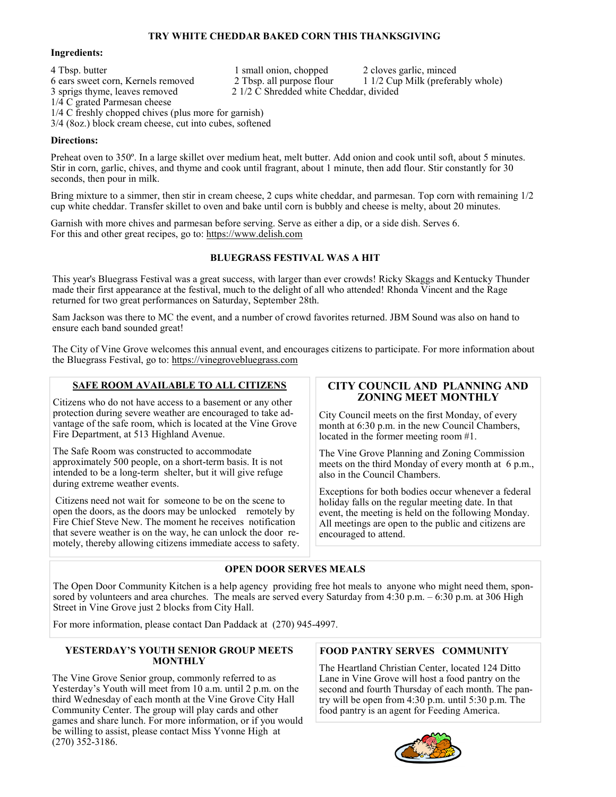# **TRY WHITE CHEDDAR BAKED CORN THIS THANKSGIVING**

#### **Ingredients:**

4 Tbsp. butter 1 small onion, chopped 2 cloves garlic, minced 6 ears sweet corn, Kernels removed 2 Tbsp. all purpose flour 1 1/2 Cup Milk (preferably whole) 6 ears sweet corn, Kernels removed<br>3 sprigs thyme, leaves removed  $2$  1/2  $\dot{C}$  Shredded white Cheddar, divided 1/4 C grated Parmesan cheese 1/4 C freshly chopped chives (plus more for garnish) 3/4 (8oz.) block cream cheese, cut into cubes, softened

#### **Directions:**

Preheat oven to 350º. In a large skillet over medium heat, melt butter. Add onion and cook until soft, about 5 minutes. Stir in corn, garlic, chives, and thyme and cook until fragrant, about 1 minute, then add flour. Stir constantly for 30 seconds, then pour in milk.

Bring mixture to a simmer, then stir in cream cheese, 2 cups white cheddar, and parmesan. Top corn with remaining 1/2 cup white cheddar. Transfer skillet to oven and bake until corn is bubbly and cheese is melty, about 20 minutes.

Garnish with more chives and parmesan before serving. Serve as either a dip, or a side dish. Serves 6. For this and other great recipes, go to: https://www.delish.com

#### **BLUEGRASS FESTIVAL WAS A HIT**

This year's Bluegrass Festival was a great success, with larger than ever crowds! Ricky Skaggs and Kentucky Thunder made their first appearance at the festival, much to the delight of all who attended! Rhonda Vincent and the Rage returned for two great performances on Saturday, September 28th.

Sam Jackson was there to MC the event, and a number of crowd favorites returned. JBM Sound was also on hand to ensure each band sounded great!

The City of Vine Grove welcomes this annual event, and encourages citizens to participate. For more information about the Bluegrass Festival, go to: https://vinegrovebluegrass.com

## **SAFE ROOM AVAILABLE TO ALL CITIZENS**

Citizens who do not have access to a basement or any other protection during severe weather are encouraged to take advantage of the safe room, which is located at the Vine Grove Fire Department, at 513 Highland Avenue.

The Safe Room was constructed to accommodate approximately 500 people, on a short-term basis. It is not intended to be a long-term shelter, but it will give refuge during extreme weather events.

 Citizens need not wait for someone to be on the scene to open the doors, as the doors may be unlocked remotely by Fire Chief Steve New. The moment he receives notification that severe weather is on the way, he can unlock the door remotely, thereby allowing citizens immediate access to safety.

# **CITY COUNCIL AND PLANNING AND ZONING MEET MONTHLY**

City Council meets on the first Monday, of every month at 6:30 p.m. in the new Council Chambers, located in the former meeting room #1.

The Vine Grove Planning and Zoning Commission meets on the third Monday of every month at 6 p.m., also in the Council Chambers.

Exceptions for both bodies occur whenever a federal holiday falls on the regular meeting date. In that event, the meeting is held on the following Monday. All meetings are open to the public and citizens are encouraged to attend.

#### **OPEN DOOR SERVES MEALS**

The Open Door Community Kitchen is a help agency providing free hot meals to anyone who might need them, sponsored by volunteers and area churches. The meals are served every Saturday from 4:30 p.m. – 6:30 p.m. at 306 High Street in Vine Grove just 2 blocks from City Hall.

For more information, please contact Dan Paddack at (270) 945-4997.

#### **YESTERDAY'S YOUTH SENIOR GROUP MEETS MONTHLY**

The Vine Grove Senior group, commonly referred to as Yesterday's Youth will meet from 10 a.m. until 2 p.m. on the third Wednesday of each month at the Vine Grove City Hall Community Center. The group will play cards and other games and share lunch. For more information, or if you would be willing to assist, please contact Miss Yvonne High at (270) 352-3186.

#### **FOOD PANTRY SERVES COMMUNITY**

The Heartland Christian Center, located 124 Ditto Lane in Vine Grove will host a food pantry on the second and fourth Thursday of each month. The pantry will be open from 4:30 p.m. until 5:30 p.m. The food pantry is an agent for Feeding America.